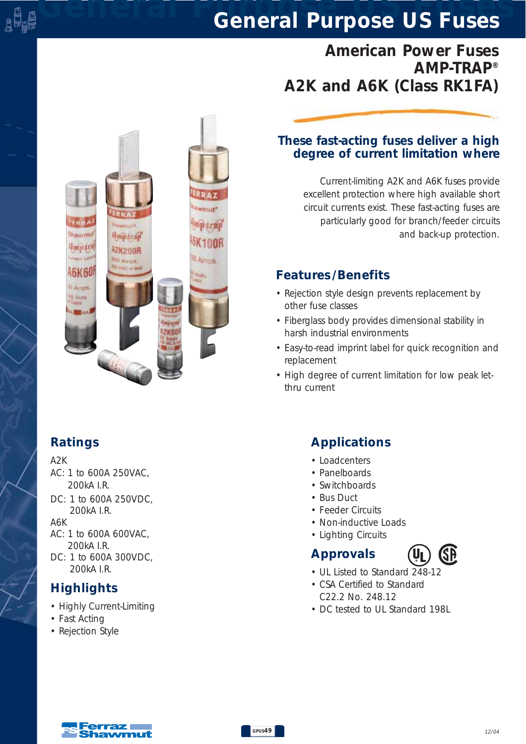# *American Power Fuses AMP-TRAP® A2K and A6K (Class RK1FA)*



### *These fast-acting fuses deliver a high degree of current limitation where*

*Current-limiting A2K and A6K fuses provide excellent protection where high available short circuit currents exist. These fast-acting fuses are particularly good for branch/feeder circuits and back-up protection.*

## *Features /Benefits*

- *Rejection style design prevents replacement by other fuse classes*
- *Fiberglass body provides dimensional stability in harsh industrial environments*
- *Easy-to-read imprint label for quick recognition and replacement*
- *High degree of current limitation for low peak letthru current*

## *Ratings*

#### *A2K*

미남<br>글라티

- *AC: 1 to 600A 250VAC, 200kA I.R.*
- *DC: 1 to 600A 250VDC, 200kA I.R.*

*A6K AC: 1 to 600A 600VAC, 200kA I.R.*

*DC: 1 to 600A 300VDC, 200kA I.R.*

## *Highlights*

- *Highly Current-Limiting*
- *Fast Acting*
- *Rejection Style*

## *Applications*

- *Loadcenters*
- *Panelboards*
- *Switchboards*
- *Bus Duct*
- *Feeder Circuits*
- *Non-inductive Loads*
- *Lighting Circuits*

# *Approvals*



- *UL Listed to Standard 248-12*
- *CSA Certified to Standard C22.2 No. 248.12*
- *DC tested to UL Standard 198L*

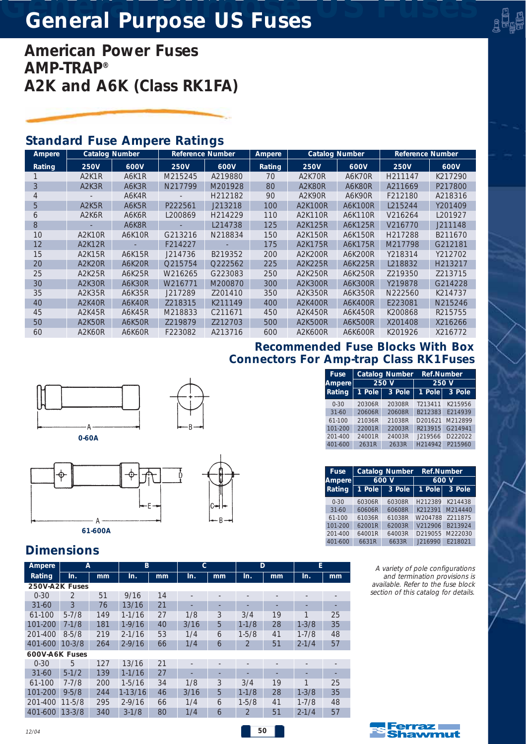*American Power Fuses AMP-TRAP® A2K and A6K (Class RK1FA)*

### *Standard Fuse Ampere Ratings*

| Ampere        |                                 | <b>Catalog Number</b><br><b>Reference Number</b><br><b>Ampere</b> |             | <b>Catalog Number</b> |               | <b>Reference Number</b> |         |                     |         |
|---------------|---------------------------------|-------------------------------------------------------------------|-------------|-----------------------|---------------|-------------------------|---------|---------------------|---------|
| <b>Rating</b> | <b>250V</b>                     | 600V                                                              | <b>250V</b> | 600V                  | <b>Rating</b> | <b>250V</b>             | 600V    | <b>250V</b>         | 600V    |
|               | A <sub>2</sub> K <sub>1</sub> R | A6K1R                                                             | M215245     | A219880               | 70            | A2K70R                  | A6K70R  | H <sub>211147</sub> | K217290 |
| 3             | A <sub>2</sub> K <sub>3</sub> R | A6K3R                                                             | N217799     | M201928               | 80            | A2K80R                  | A6K80R  | A211669             | P217800 |
| 4             |                                 | A6K4R                                                             |             | H212182               | 90            | A2K90R                  | A6K90R  | F212180             | A218316 |
| 5             | A <sub>2</sub> K <sub>5</sub> R | A6K5R                                                             | P222561     | J213218               | 100           | A2K100R                 | A6K100R | L215244             | Y201409 |
| 6             | A <sub>2</sub> K <sub>6</sub> R | A6K6R                                                             | L200869     | H214229               | 110           | A2K110R                 | A6K110R | V216264             | L201927 |
| 8             |                                 | A6K8R                                                             |             | L214738               | 125           | A2K125R                 | A6K125R | V216770             | J211148 |
| 10            | A2K10R                          | A6K10R                                                            | G213216     | N218834               | 150           | A2K150R                 | A6K150R | H217288             | B211670 |
| 12            | <b>A2K12R</b>                   |                                                                   | F214227     |                       | 175           | A2K175R                 | A6K175R | M217798             | G212181 |
| 15            | A2K15R                          | A6K15R                                                            | J214736     | B219352               | 200           | A2K200R                 | A6K200R | Y218314             | Y212702 |
| 20            | A2K20R                          | A6K20R                                                            | Q215754     | Q222562               | 225           | A2K225R                 | A6K225R | L218832             | H213217 |
| 25            | A2K25R                          | A6K25R                                                            | W216265     | G223083               | 250           | A2K250R                 | A6K250R | Z219350             | Z213715 |
| 30            | A2K30R                          | <b>A6K30R</b>                                                     | W216771     | M200870               | 300           | A2K300R                 | A6K300R | Y219878             | G214228 |
| 35            | A2K35R                          | A6K35R                                                            | J217289     | Z201410               | 350           | A2K350R                 | A6K350R | N222560             | K214737 |
| 40            | A2K40R                          | A6K40R                                                            | Z218315     | K211149               | 400           | A2K400R                 | A6K400R | E223081             | N215246 |
| 45            | A2K45R                          | A6K45R                                                            | M218833     | C211671               | 450           | A2K450R                 | A6K450R | K200868             | R215755 |
| 50            | A2K50R                          | A6K50R                                                            | Z219879     | Z212703               | 500           | A2K500R                 | A6K500R | X201408             | X216266 |
| 60            | A2K60R                          | A6K60R                                                            | F223082     | A213716               | 600           | A2K600R                 | A6K600R | K201926             | X216772 |

### *Recommended Fuse Blocks With Box Connectors For Amp-trap Class RK1Fuses*

| 0-60A |  |
|-------|--|



*Dimensions*

| Ampere         | A              |     | B          |    | C    |    | D              |    | E         |    |
|----------------|----------------|-----|------------|----|------|----|----------------|----|-----------|----|
| Rating         | In.            | mm  | In.        | mm | In.  | mm | In.            | mm | In.       | mm |
| 250V-A2K Fuses |                |     |            |    |      |    |                |    |           |    |
| $0 - 30$       | $\overline{2}$ | 51  | 9/16       | 14 |      |    |                |    |           |    |
| $31 - 60$      | 3              | 76  | 13/16      | 21 |      |    |                |    |           |    |
| $61-100$       | $5 - 7/8$      | 149 | $1 - 1/16$ | 27 | 1/8  | 3  | 3/4            | 19 | 1         | 25 |
| 101-200        | $7-1/8$        | 181 | $1-9/16$   | 40 | 3/16 | 5  | $1 - 1/8$      | 28 | $1 - 3/8$ | 35 |
| 201-400        | $8 - 5/8$      | 219 | $2 - 1/16$ | 53 | 1/4  | 6  | $1 - 5/8$      | 41 | $1 - 7/8$ | 48 |
| 401-600        | $10-3/8$       | 264 | $2 - 9/16$ | 66 | 1/4  | 6  |                | 51 | $2 - 1/4$ | 57 |
| 600V-A6K Fuses |                |     |            |    |      |    |                |    |           |    |
| $0 - 30$       | 5              | 127 | 13/16      | 21 |      |    |                |    |           |    |
| $31 - 60$      | $5-1/2$        | 139 | $1-1/16$   | 27 |      |    |                |    |           |    |
| $61-100$       | $7 - 7/8$      | 200 | $1 - 5/16$ | 34 | 1/8  | 3  | 3/4            | 19 | 1         | 25 |
| 101-200        | $9 - 5/8$      | 244 | $1-13/16$  | 46 | 3/16 | 5  | $1 - 1/8$      | 28 | $1 - 3/8$ | 35 |
| 201-400        | $11 - 5/8$     | 295 | $2 - 9/16$ | 66 | 1/4  | 6  | $1 - 5/8$      | 41 | $1 - 7/8$ | 48 |
| 401-600        | $13 - 3/8$     | 340 | $3 - 1/8$  | 80 | 1/4  | 6  | $\overline{2}$ | 51 | $2 - 1/4$ | 57 |

| <b>Fuse</b><br><b>Ampere</b> |        | <b>Catalog Number</b><br>600V | <b>Ref.Number</b>   | 600 V   |
|------------------------------|--------|-------------------------------|---------------------|---------|
|                              |        |                               |                     |         |
|                              |        |                               |                     |         |
|                              |        |                               |                     |         |
| 401-600                      | 2631R  | 2633R                         | H <sub>214942</sub> | P215960 |
| $201 - 400$                  | 24001R | 24003R                        | J219566             | D222022 |
|                              | 22001R | 22003R                        | R213915             | G214941 |

*Fuse Catalog Number Ref.Number Ampere 250 V 250 V Rating 1 Pole 3 Pole 1 Pole 3 Pole 0-30 20306R 20308R T213411 K215956 31-60 20606R 20608R B212383 E214939 61-100 21036R 21038R D201621 M212899* ្មុញ្ញ<br>រដ្ឋ

| <b>INGUILIY</b> | i ruit | o ruit. |         | I FUI <del>C</del> I J FUI <del>C</del> |
|-----------------|--------|---------|---------|-----------------------------------------|
| $0 - 30$        | 60306R | 60308R  | H212389 | K214438                                 |
| $31 - 60$       | 60606R | 60608R  | K212391 | M214440                                 |
| 61-100          | 61036R | 61038R  | W204788 | 7211875                                 |
| 101-200         | 62001R | 62003R  | V212906 | B213924                                 |
| 201-400         | 64001R | 64003R  |         | D219055 M222030                         |
| 401-600         | 6631R  | 6633R   |         | J216990 F218021                         |

*A variety of pole configurations and termination provisions is available. Refer to the fuse block section of this catalog for details.*

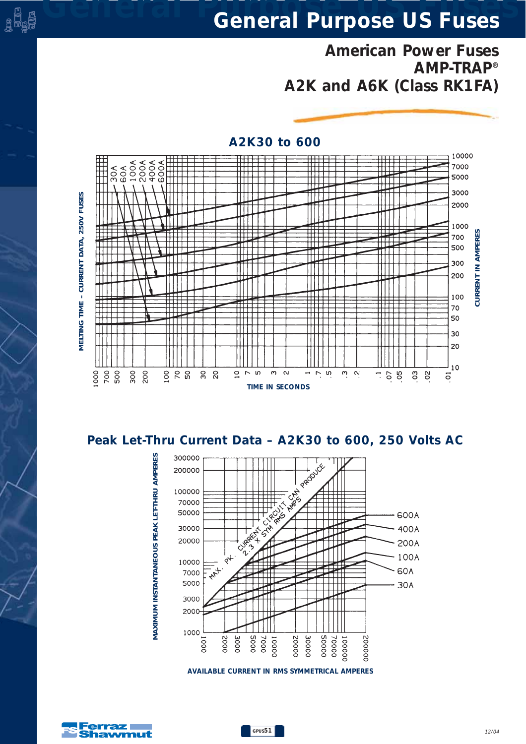*American Power Fuses AMP-TRAP® A2K and A6K (Class RK1FA)*



#### *A2K30 to 600*

*Peak Let-Thru Current Data – A2K30 to 600, 250 Volts AC*



*AVAILABLE CURRENT IN RMS SYMMETRICAL AMPERES*



e <sup>d</sup>e

*MAXIMUM INSTANTANEOUS PEAK LET-THRU AMPERES*

VIAXIMUM INSTANTANEOUS PEAK LET-THRU AMPERES